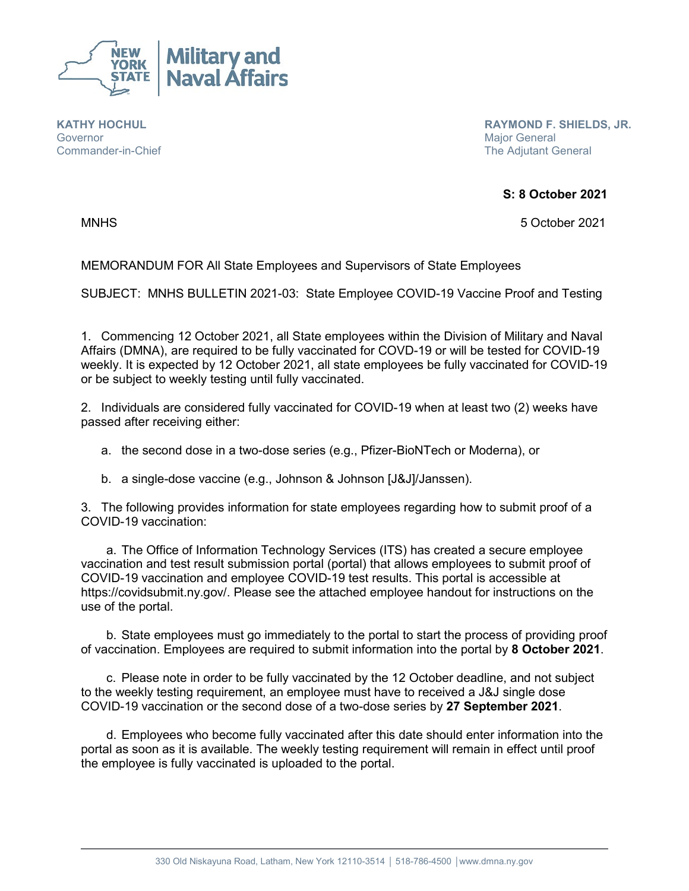

**KATHY HOCHUL Governor** Commander-in-Chief  **RAYMOND F. SHIELDS, JR.** Major General The Adjutant General

**S: 8 October 2021**

MNHS 5 October 2021

MEMORANDUM FOR All State Employees and Supervisors of State Employees

SUBJECT: MNHS BULLETIN 2021-03: State Employee COVID-19 Vaccine Proof and Testing

1. Commencing 12 October 2021, all State employees within the Division of Military and Naval Affairs (DMNA), are required to be fully vaccinated for COVD-19 or will be tested for COVID-19 weekly. It is expected by 12 October 2021, all state employees be fully vaccinated for COVID-19 or be subject to weekly testing until fully vaccinated.

2. Individuals are considered fully vaccinated for COVID-19 when at least two (2) weeks have passed after receiving either:

a. the second dose in a two-dose series (e.g., Pfizer-BioNTech or Moderna), or

b. a single-dose vaccine (e.g., Johnson & Johnson [J&J]/Janssen).

3. The following provides information for state employees regarding how to submit proof of a COVID-19 vaccination:

a. The Office of Information Technology Services (ITS) has created a secure employee vaccination and test result submission portal (portal) that allows employees to submit proof of COVID-19 vaccination and employee COVID-19 test results. This portal is accessible at https://covidsubmit.ny.gov/. Please see the attached employee handout for instructions on the use of the portal.

b. State employees must go immediately to the portal to start the process of providing proof of vaccination. Employees are required to submit information into the portal by **8 October 2021**.

c. Please note in order to be fully vaccinated by the 12 October deadline, and not subject to the weekly testing requirement, an employee must have to received a J&J single dose COVID-19 vaccination or the second dose of a two-dose series by **27 September 2021**.

d. Employees who become fully vaccinated after this date should enter information into the portal as soon as it is available. The weekly testing requirement will remain in effect until proof the employee is fully vaccinated is uploaded to the portal.